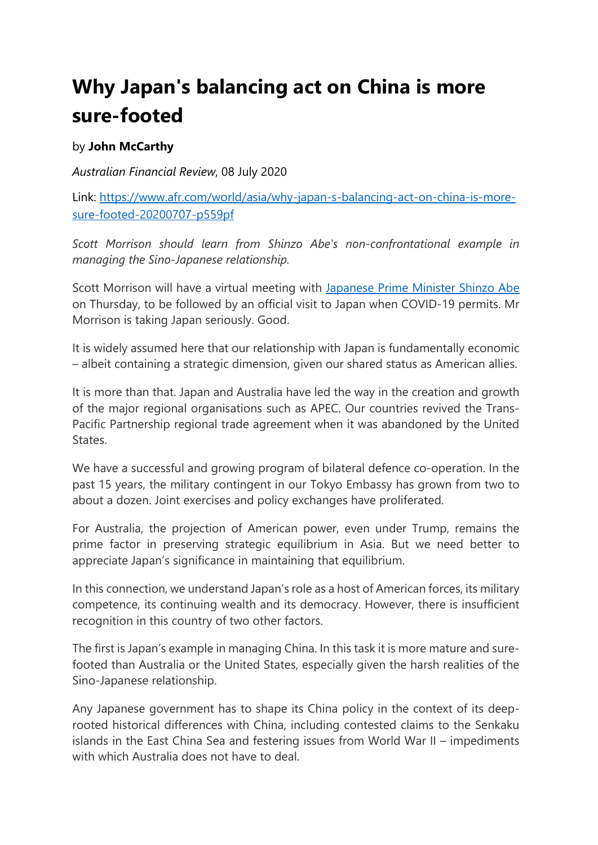## **Why Japan's balancing act on China is more sure-footed**

## by **John McCarthy**

*Australian Financial Review*, 08 July 2020

Link: [https://www.afr.com/world/asia/why-japan-s-balancing-act-on-china-is-more](https://www.afr.com/world/asia/why-japan-s-balancing-act-on-china-is-more-sure-footed-20200707-p559pf)[sure-footed-20200707-p559pf](https://www.afr.com/world/asia/why-japan-s-balancing-act-on-china-is-more-sure-footed-20200707-p559pf)

*Scott Morrison should learn from Shinzo Abe's non-confrontational example in managing the Sino-Japanese relationship.*

Scott Morrison will have a virtual meeting with [Japanese Prime Minister Shinzo Abe](https://www.afr.com/link/follow-20180101-p551e8) on Thursday, to be followed by an official visit to Japan when COVID-19 permits. Mr Morrison is taking Japan seriously. Good.

It is widely assumed here that our relationship with Japan is fundamentally economic – albeit containing a strategic dimension, given our shared status as American allies.

It is more than that. Japan and Australia have led the way in the creation and growth of the major regional organisations such as APEC. Our countries revived the Trans-Pacific Partnership regional trade agreement when it was abandoned by the United States.

We have a successful and growing program of bilateral defence co-operation. In the past 15 years, the military contingent in our Tokyo Embassy has grown from two to about a dozen. Joint exercises and policy exchanges have proliferated.

For Australia, the projection of American power, even under Trump, remains the prime factor in preserving strategic equilibrium in Asia. But we need better to appreciate Japan's significance in maintaining that equilibrium.

In this connection, we understand Japan's role as a host of American forces, its military competence, its continuing wealth and its democracy. However, there is insufficient recognition in this country of two other factors.

The first is Japan's example in managing China. In this task it is more mature and surefooted than Australia or the United States, especially given the harsh realities of the Sino-Japanese relationship.

Any Japanese government has to shape its China policy in the context of its deeprooted historical differences with China, including contested claims to the Senkaku islands in the East China Sea and festering issues from World War II – impediments with which Australia does not have to deal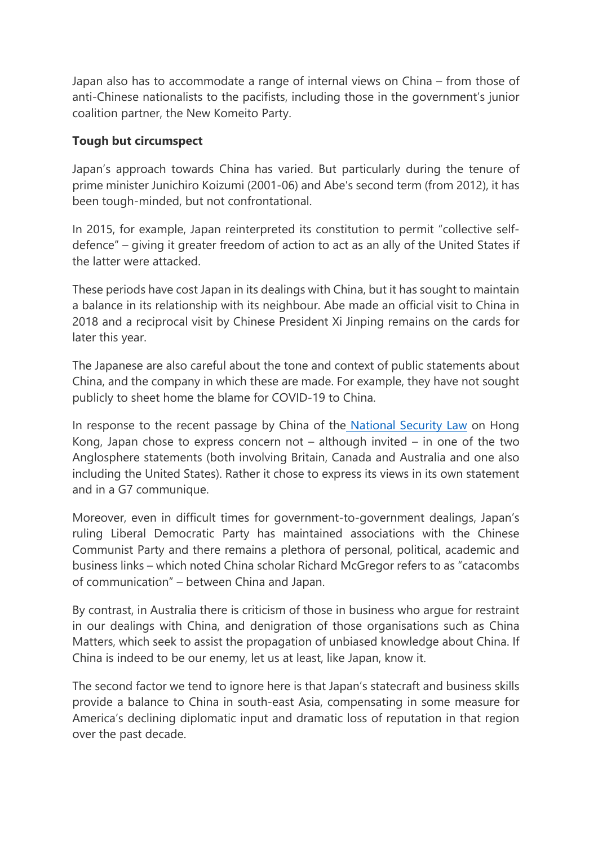Japan also has to accommodate a range of internal views on China – from those of anti-Chinese nationalists to the pacifists, including those in the government's junior coalition partner, the New Komeito Party.

## **Tough but circumspect**

Japan's approach towards China has varied. But particularly during the tenure of prime minister Junichiro Koizumi (2001-06) and Abe's second term (from 2012), it has been tough-minded, but not confrontational.

In 2015, for example, Japan reinterpreted its constitution to permit "collective selfdefence" – giving it greater freedom of action to act as an ally of the United States if the latter were attacked.

These periods have cost Japan in its dealings with China, but it has sought to maintain a balance in its relationship with its neighbour. Abe made an official visit to China in 2018 and a reciprocal visit by Chinese President Xi Jinping remains on the cards for later this year.

The Japanese are also careful about the tone and context of public statements about China, and the company in which these are made. For example, they have not sought publicly to sheet home the blame for COVID-19 to China.

In response to the recent passage by China of the [National Security Law](https://www.afr.com/link/follow-20180101-p558el) on Hong Kong, Japan chose to express concern not – although invited – in one of the two Anglosphere statements (both involving Britain, Canada and Australia and one also including the United States). Rather it chose to express its views in its own statement and in a G7 communique.

Moreover, even in difficult times for government-to-government dealings, Japan's ruling Liberal Democratic Party has maintained associations with the Chinese Communist Party and there remains a plethora of personal, political, academic and business links – which noted China scholar Richard McGregor refers to as "catacombs of communication" – between China and Japan.

By contrast, in Australia there is criticism of those in business who argue for restraint in our dealings with China, and denigration of those organisations such as China Matters, which seek to assist the propagation of unbiased knowledge about China. If China is indeed to be our enemy, let us at least, like Japan, know it.

The second factor we tend to ignore here is that Japan's statecraft and business skills provide a balance to China in south-east Asia, compensating in some measure for America's declining diplomatic input and dramatic loss of reputation in that region over the past decade.